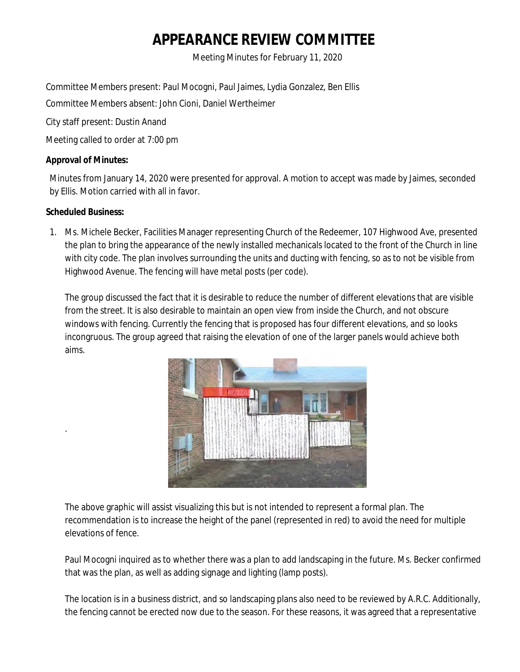# **APPEARANCE REVIEW COMMITTEE**

Meeting Minutes for February 11, 2020

Committee Members present: Paul Mocogni, Paul Jaimes, Lydia Gonzalez, Ben Ellis

Committee Members absent: John Cioni, Daniel Wertheimer

City staff present: Dustin Anand

Meeting called to order at 7:00 pm

## **Approval of Minutes:**

Minutes from January 14, 2020 were presented for approval. A motion to accept was made by Jaimes, seconded by Ellis. Motion carried with all in favor.

# **Scheduled Business:**

.

1. Ms. Michele Becker, Facilities Manager representing Church of the Redeemer, 107 Highwood Ave, presented the plan to bring the appearance of the newly installed mechanicals located to the front of the Church in line with city code. The plan involves surrounding the units and ducting with fencing, so as to not be visible from Highwood Avenue. The fencing will have metal posts (per code).

The group discussed the fact that it is desirable to reduce the number of different elevations that are visible from the street. It is also desirable to maintain an open view from inside the Church, and not obscure windows with fencing. Currently the fencing that is proposed has four different elevations, and so looks incongruous. The group agreed that raising the elevation of one of the larger panels would achieve both aims.



The above graphic will assist visualizing this but is not intended to represent a formal plan. The recommendation is to increase the height of the panel (represented in red) to avoid the need for multiple elevations of fence.

Paul Mocogni inquired as to whether there was a plan to add landscaping in the future. Ms. Becker confirmed that was the plan, as well as adding signage and lighting (lamp posts).

The location is in a business district, and so landscaping plans also need to be reviewed by A.R.C. Additionally, the fencing cannot be erected now due to the season. For these reasons, it was agreed that a representative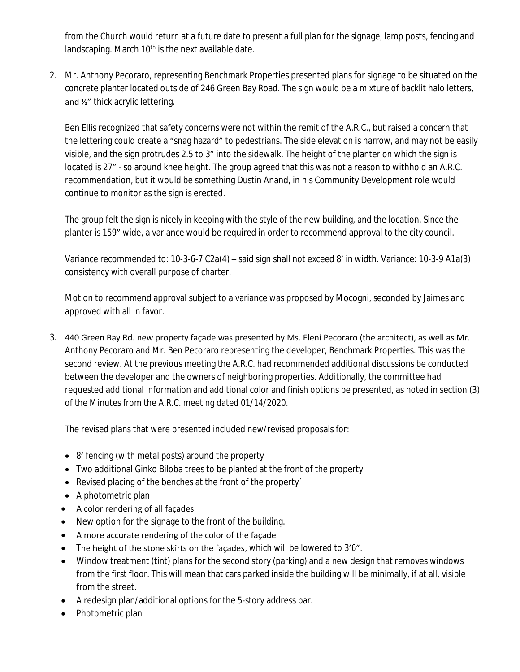from the Church would return at a future date to present a full plan for the signage, lamp posts, fencing and landscaping. March 10<sup>th</sup> is the next available date.

2. Mr. Anthony Pecoraro, representing Benchmark Properties presented plans for signage to be situated on the concrete planter located outside of 246 Green Bay Road. The sign would be a mixture of backlit halo letters, and ½" thick acrylic lettering.

Ben Ellis recognized that safety concerns were not within the remit of the A.R.C., but raised a concern that the lettering could create a "snag hazard" to pedestrians. The side elevation is narrow, and may not be easily visible, and the sign protrudes 2.5 to 3" into the sidewalk. The height of the planter on which the sign is located is 27" - so around knee height. The group agreed that this was not a reason to withhold an A.R.C. recommendation, but it would be something Dustin Anand, in his Community Development role would continue to monitor as the sign is erected.

The group felt the sign is nicely in keeping with the style of the new building, and the location. Since the planter is 159" wide, a variance would be required in order to recommend approval to the city council.

Variance recommended to: 10-3-6-7 C2a(4) – said sign shall not exceed 8' in width. Variance: 10-3-9 A1a(3) consistency with overall purpose of charter.

Motion to recommend approval subject to a variance was proposed by Mocogni, seconded by Jaimes and approved with all in favor.

3. 440 Green Bay Rd. new property façade was presented by Ms. Eleni Pecoraro (the architect), as well as Mr. Anthony Pecoraro and Mr. Ben Pecoraro representing the developer, Benchmark Properties. This was the second review. At the previous meeting the A.R.C. had recommended additional discussions be conducted between the developer and the owners of neighboring properties. Additionally, the committee had requested additional information and additional color and finish options be presented, as noted in section (3) of the Minutes from the A.R.C. meeting dated 01/14/2020.

The revised plans that were presented included new/revised proposals for:

- 8' fencing (with metal posts) around the property
- Two additional Ginko Biloba trees to be planted at the front of the property
- Revised placing of the benches at the front of the property`
- A photometric plan
- A color rendering of all façades
- New option for the signage to the front of the building.
- A more accurate rendering of the color of the façade
- The height of the stone skirts on the façades, which will be lowered to 3'6".
- Window treatment (tint) plans for the second story (parking) and a new design that removes windows from the first floor. This will mean that cars parked inside the building will be minimally, if at all, visible from the street.
- A redesign plan/additional options for the 5-story address bar.
- Photometric plan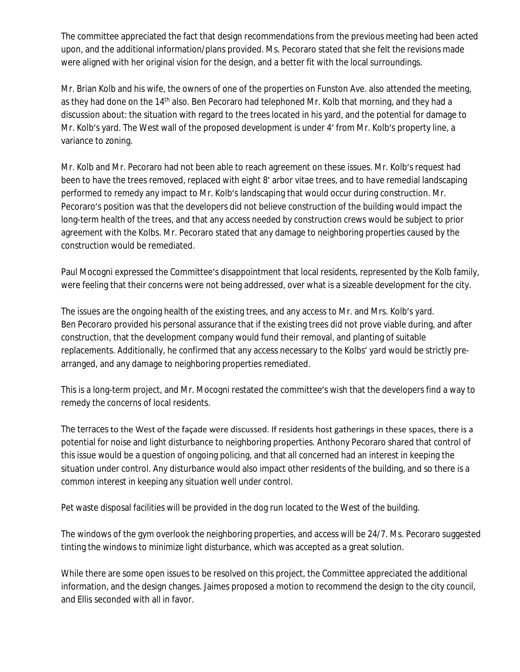The committee appreciated the fact that design recommendations from the previous meeting had been acted upon, and the additional information/plans provided. Ms. Pecoraro stated that she felt the revisions made were aligned with her original vision for the design, and a better fit with the local surroundings.

Mr. Brian Kolb and his wife, the owners of one of the properties on Funston Ave. also attended the meeting, as they had done on the 14<sup>th</sup> also. Ben Pecoraro had telephoned Mr. Kolb that morning, and they had a discussion about: the situation with regard to the trees located in his yard, and the potential for damage to Mr. Kolb's yard. The West wall of the proposed development is under 4' from Mr. Kolb's property line, a variance to zoning.

Mr. Kolb and Mr. Pecoraro had not been able to reach agreement on these issues. Mr. Kolb's request had been to have the trees removed, replaced with eight 8' arbor vitae trees, and to have remedial landscaping performed to remedy any impact to Mr. Kolb's landscaping that would occur during construction. Mr. Pecoraro's position was that the developers did not believe construction of the building would impact the long-term health of the trees, and that any access needed by construction crews would be subject to prior agreement with the Kolbs. Mr. Pecoraro stated that any damage to neighboring properties caused by the construction would be remediated.

Paul Mocogni expressed the Committee's disappointment that local residents, represented by the Kolb family, were feeling that their concerns were not being addressed, over what is a sizeable development for the city.

The issues are the ongoing health of the existing trees, and any access to Mr. and Mrs. Kolb's yard. Ben Pecoraro provided his personal assurance that if the existing trees did not prove viable during, and after construction, that the development company would fund their removal, and planting of suitable replacements. Additionally, he confirmed that any access necessary to the Kolbs' yard would be strictly prearranged, and any damage to neighboring properties remediated.

This is a long-term project, and Mr. Mocogni restated the committee's wish that the developers find a way to remedy the concerns of local residents.

The terraces to the West of the façade were discussed. If residents host gatherings in these spaces, there is a potential for noise and light disturbance to neighboring properties. Anthony Pecoraro shared that control of this issue would be a question of ongoing policing, and that all concerned had an interest in keeping the situation under control. Any disturbance would also impact other residents of the building, and so there is a common interest in keeping any situation well under control.

Pet waste disposal facilities will be provided in the dog run located to the West of the building.

The windows of the gym overlook the neighboring properties, and access will be 24/7. Ms. Pecoraro suggested tinting the windows to minimize light disturbance, which was accepted as a great solution.

While there are some open issues to be resolved on this project, the Committee appreciated the additional information, and the design changes. Jaimes proposed a motion to recommend the design to the city council, and Ellis seconded with all in favor.